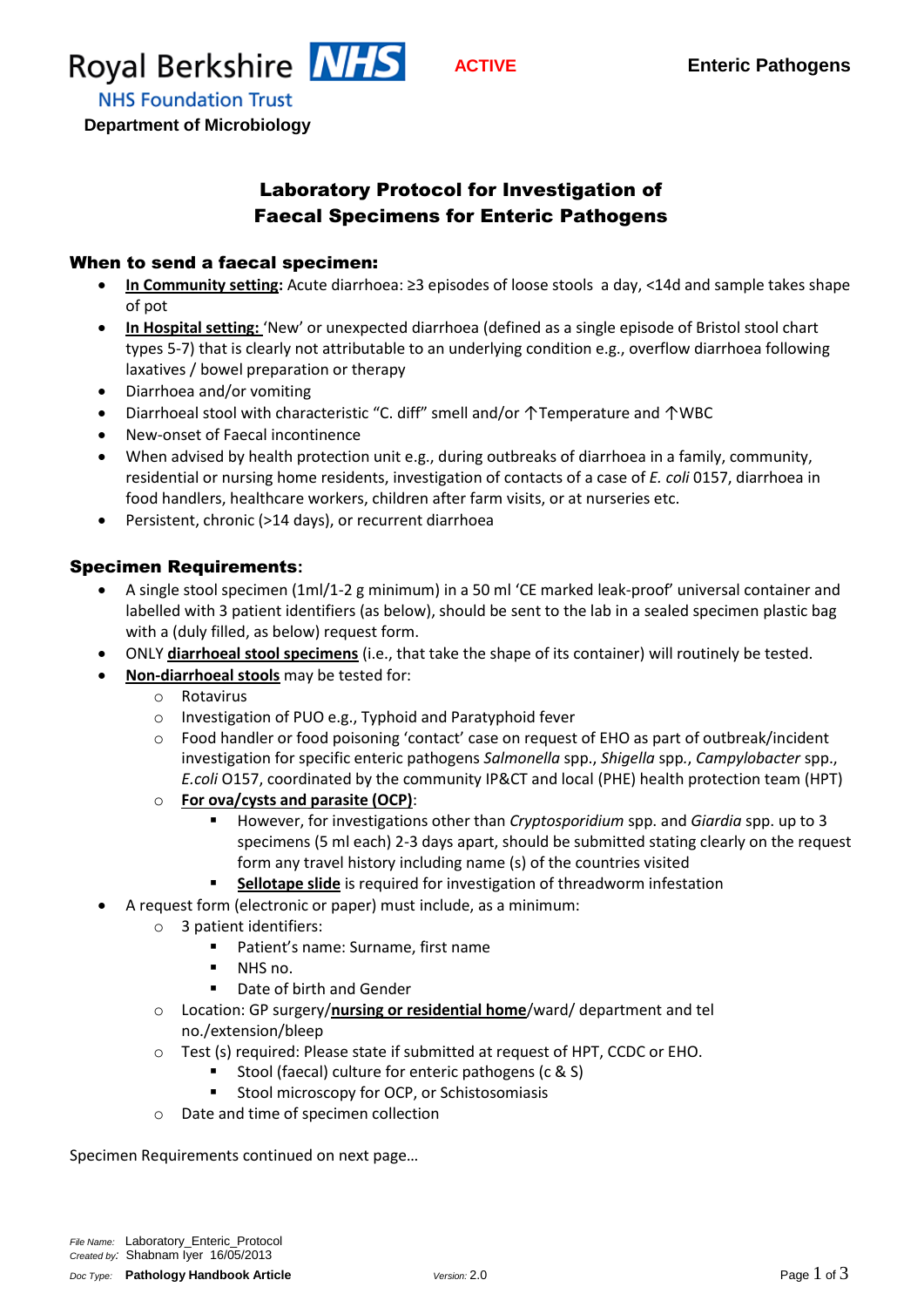

**NHS Foundation Trust** 

 **Department of Microbiology**

## Laboratory Protocol for Investigation of Faecal Specimens for Enteric Pathogens

#### When to send a faecal specimen:

- **In Community setting:** Acute diarrhoea: ≥3 episodes of loose stools a day, <14d and sample takes shape of pot
- **In Hospital setting:** 'New' or unexpected diarrhoea (defined as a single episode of Bristol stool chart types 5‐7) that is clearly not attributable to an underlying condition e.g., overflow diarrhoea following laxatives / bowel preparation or therapy
- Diarrhoea and/or vomiting
- Diarrhoeal stool with characteristic "C. diff" smell and/or ↑Temperature and ↑WBC
- New‐onset of Faecal incontinence
- When advised by health protection unit e.g., during outbreaks of diarrhoea in a family, community, residential or nursing home residents, investigation of contacts of a case of *E. coli* 0157, diarrhoea in food handlers, healthcare workers, children after farm visits, or at nurseries etc.
- Persistent, chronic (>14 days), or recurrent diarrhoea

### Specimen Requirements**:**

- A single stool specimen (1ml/1-2 g minimum) in a 50 ml 'CE marked leak-proof' universal container and labelled with 3 patient identifiers (as below), should be sent to the lab in a sealed specimen plastic bag with a (duly filled, as below) request form.
- ONLY **diarrhoeal stool specimens** (i.e., that take the shape of its container) will routinely be tested.
- **Non-diarrhoeal stools** may be tested for:
	- o Rotavirus
	- o Investigation of PUO e.g., Typhoid and Paratyphoid fever
	- o Food handler or food poisoning 'contact' case on request of EHO as part of outbreak/incident investigation for specific enteric pathogens *Salmonella* spp., *Shigella* spp*.*, *Campylobacter* spp., *E.coli* O157, coordinated by the community IP&CT and local (PHE) health protection team (HPT)
	- o **For ova/cysts and parasite (OCP)**:
		- However, for investigations other than *Cryptosporidium* spp. and *Giardia* spp. up to 3 specimens (5 ml each) 2-3 days apart, should be submitted stating clearly on the request form any travel history including name (s) of the countries visited
		- **Sellotape slide** is required for investigation of threadworm infestation
- A request form (electronic or paper) must include, as a minimum:
	- o 3 patient identifiers:
		- **Patient's name: Surname, first name** 
			- NHS no.
		- Date of birth and Gender
	- o Location: GP surgery/**nursing or residential home**/ward/ department and tel no./extension/bleep
	- o Test (s) required: Please state if submitted at request of HPT, CCDC or EHO.
		- Stool (faecal) culture for enteric pathogens (c & S)
		- **Stool microscopy for OCP, or Schistosomiasis**
	- o Date and time of specimen collection

Specimen Requirements continued on next page…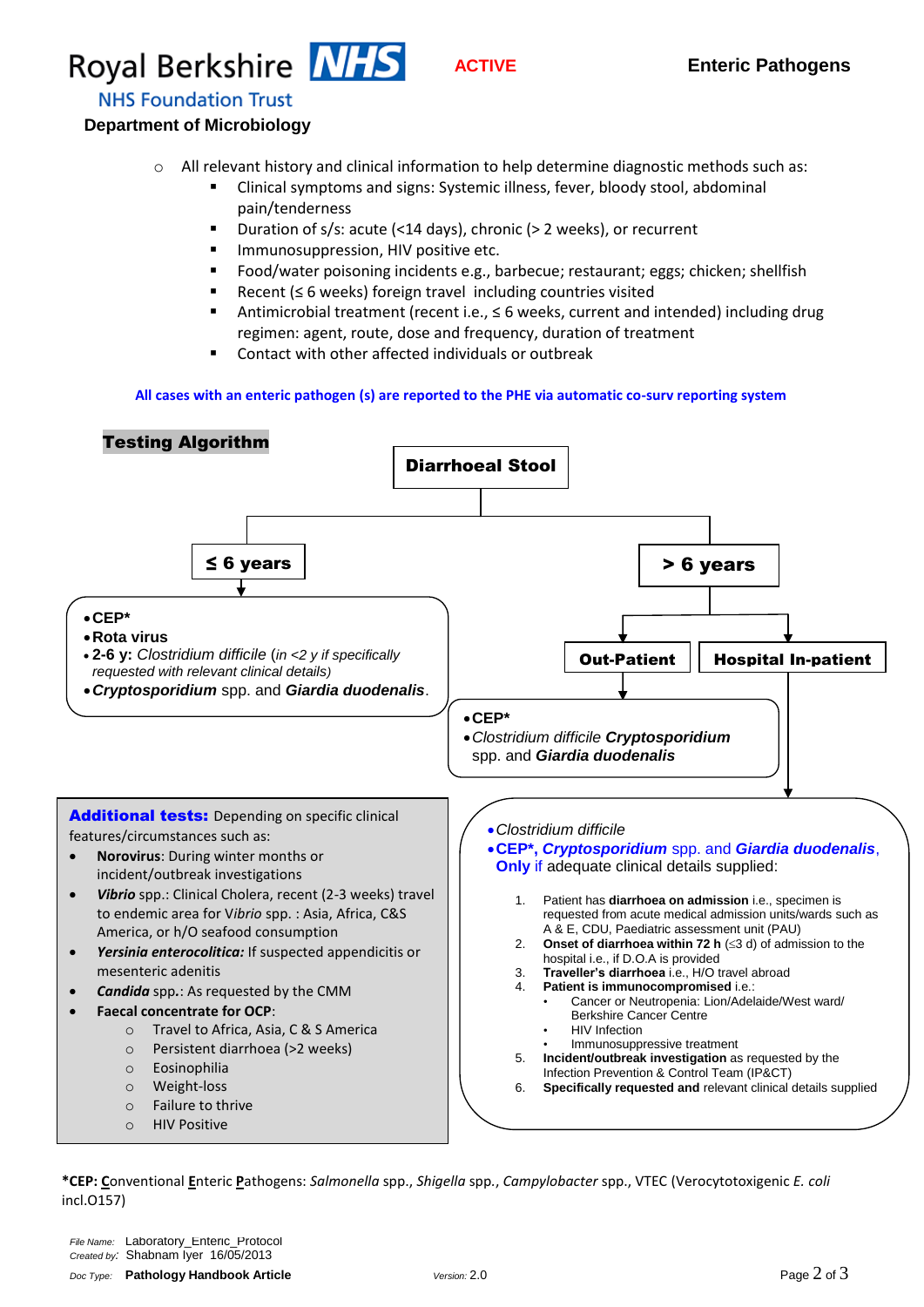# **ROYAl Berkshire NIS ACTIVE FINE Enteric Pathogens**

**NHS Foundation Trust** 

#### **Department of Microbiology**

- $\circ$  All relevant history and clinical information to help determine diagnostic methods such as:
	- Clinical symptoms and signs: Systemic illness, fever, bloody stool, abdominal pain/tenderness
	- Duration of s/s: acute (<14 days), chronic (> 2 weeks), or recurrent
	- **IMMUNOSUPPRESSION, HIV positive etc.**
	- Food/water poisoning incidents e.g., barbecue; restaurant; eggs; chicken; shellfish
	- Recent (≤ 6 weeks) foreign travel including countries visited
	- Antimicrobial treatment (recent i.e., ≤ 6 weeks, current and intended) including drug regimen: agent, route, dose and frequency, duration of treatment
	- Contact with other affected individuals or outbreak

#### **All cases with an enteric pathogen (s) are reported to the PHE via automatic co-surv reporting system**



**\*CEP: C**onventional **E**nteric **P**athogens: *Salmonella* spp., *Shigella* spp*.*, *Campylobacter* spp., VTEC (Verocytotoxigenic *E. coli*  incl.O157)

*File Name:* Laboratory\_Enteric\_Protocol *Created by:* Shabnam Iyer 16/05/2013 *Doc Type:* **Pathology Handbook Article** *Version:* 2.0Page 2 of 3